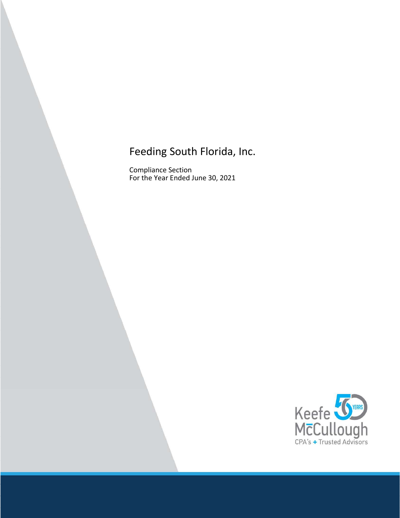Compliance Section For the Year Ended June 30, 2021

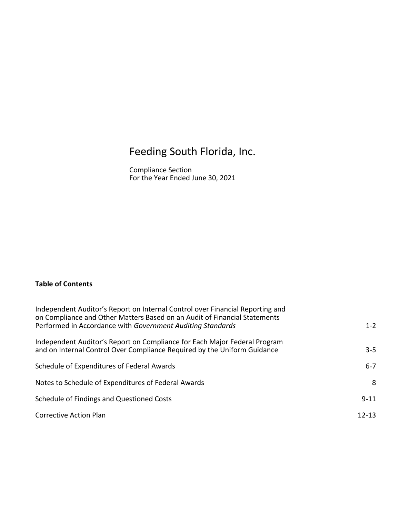Compliance Section For the Year Ended June 30, 2021

# Table of Contents

| Independent Auditor's Report on Internal Control over Financial Reporting and<br>on Compliance and Other Matters Based on an Audit of Financial Statements |           |
|------------------------------------------------------------------------------------------------------------------------------------------------------------|-----------|
| Performed in Accordance with Government Auditing Standards                                                                                                 | $1 - 2$   |
| Independent Auditor's Report on Compliance for Each Major Federal Program                                                                                  |           |
| and on Internal Control Over Compliance Required by the Uniform Guidance                                                                                   | $3 - 5$   |
| Schedule of Expenditures of Federal Awards                                                                                                                 | $6 - 7$   |
| Notes to Schedule of Expenditures of Federal Awards                                                                                                        | 8         |
| Schedule of Findings and Questioned Costs                                                                                                                  | $9 - 11$  |
| <b>Corrective Action Plan</b>                                                                                                                              | $12 - 13$ |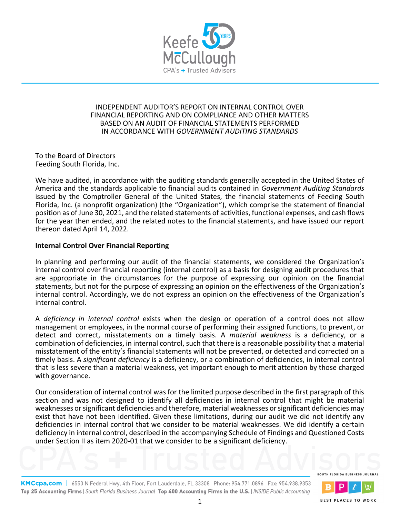

# INDEPENDENT AUDITOR'S REPORT ON INTERNAL CONTROL OVER FINANCIAL REPORTING AND ON COMPLIANCE AND OTHER MATTERS BASED ON AN AUDIT OF FINANCIAL STATEMENTS PERFORMED IN ACCORDANCE WITH GOVERNMENT AUDITING STANDARDS

To the Board of Directors Feeding South Florida, Inc.

We have audited, in accordance with the auditing standards generally accepted in the United States of America and the standards applicable to financial audits contained in Government Auditing Standards issued by the Comptroller General of the United States, the financial statements of Feeding South Florida, Inc. (a nonprofit organization) (the "Organization"), which comprise the statement of financial position as of June 30, 2021, and the related statements of activities, functional expenses, and cash flows for the year then ended, and the related notes to the financial statements, and have issued our report thereon dated April 14, 2022.

# Internal Control Over Financial Reporting

In planning and performing our audit of the financial statements, we considered the Organization's internal control over financial reporting (internal control) as a basis for designing audit procedures that are appropriate in the circumstances for the purpose of expressing our opinion on the financial statements, but not for the purpose of expressing an opinion on the effectiveness of the Organization's internal control. Accordingly, we do not express an opinion on the effectiveness of the Organization's internal control.

A deficiency in internal control exists when the design or operation of a control does not allow management or employees, in the normal course of performing their assigned functions, to prevent, or detect and correct, misstatements on a timely basis. A material weakness is a deficiency, or a combination of deficiencies, in internal control, such that there is a reasonable possibility that a material misstatement of the entity's financial statements will not be prevented, or detected and corrected on a timely basis. A significant deficiency is a deficiency, or a combination of deficiencies, in internal control that is less severe than a material weakness, yet important enough to merit attention by those charged with governance.

Our consideration of internal control was for the limited purpose described in the first paragraph of this section and was not designed to identify all deficiencies in internal control that might be material weaknesses or significant deficiencies and therefore, material weaknesses or significant deficiencies may exist that have not been identified. Given these limitations, during our audit we did not identify any deficiencies in internal control that we consider to be material weaknesses. We did identify a certain deficiency in internal control, described in the accompanying Schedule of Findings and Questioned Costs under Section II as item 2020 01 that we consider to be a significant deficiency.

SOUTH FLORIDA BUSINESS JOURNAL

**BEST PLACES TO WORK** 

KMCcpa.com | 6550 N Federal Hwy, 4th Floor, Fort Lauderdale, FL 33308 Phone: 954.771.0896 Fax: 954.938.9353 Top 25 Accounting Firms | South Florida Business Journal Top 400 Accounting Firms in the U.S. | INSIDE Public Accounting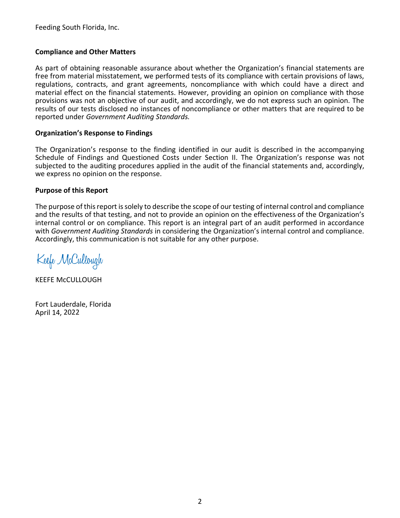# Compliance and Other Matters

As part of obtaining reasonable assurance about whether the Organization's financial statements are free from material misstatement, we performed tests of its compliance with certain provisions of laws, regulations, contracts, and grant agreements, noncompliance with which could have a direct and material effect on the financial statements. However, providing an opinion on compliance with those provisions was not an objective of our audit, and accordingly, we do not express such an opinion. The results of our tests disclosed no instances of noncompliance or other matters that are required to be reported under Government Auditing Standards.

## Organization's Response to Findings

The Organization's response to the finding identified in our audit is described in the accompanying Schedule of Findings and Questioned Costs under Section II. The Organization's response was not subjected to the auditing procedures applied in the audit of the financial statements and, accordingly, we express no opinion on the response.

# Purpose of this Report

The purpose of this report is solely to describe the scope of our testing of internal control and compliance and the results of that testing, and not to provide an opinion on the effectiveness of the Organization's internal control or on compliance. This report is an integral part of an audit performed in accordance with Government Auditing Standards in considering the Organization's internal control and compliance. Accordingly, this communication is not suitable for any other purpose.

Keefe McCullough

KEEFE McCULLOUGH

Fort Lauderdale, Florida April 14, 2022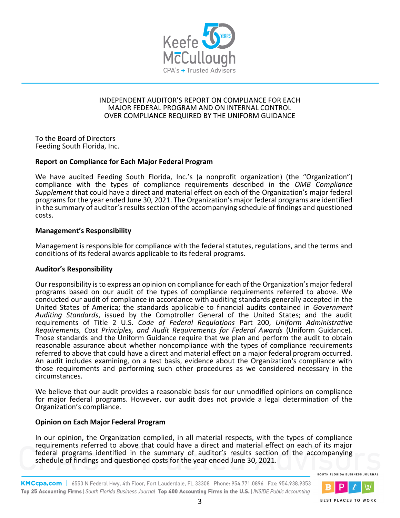

## INDEPENDENT AUDITOR'S REPORT ON COMPLIANCE FOR EACH MAJOR FEDERAL PROGRAM AND ON INTERNAL CONTROL OVER COMPLIANCE REQUIRED BY THE UNIFORM GUIDANCE

To the Board of Directors Feeding South Florida, Inc.

# Report on Compliance for Each Major Federal Program

We have audited Feeding South Florida, Inc.'s (a nonprofit organization) (the "Organization") compliance with the types of compliance requirements described in the OMB Compliance Supplement that could have a direct and material effect on each of the Organization's major federal programs for the year ended June 30, 2021. The Organization's major federal programs are identified in the summary of auditor's results section of the accompanying schedule of findings and questioned costs.

# Management's Responsibility

Management is responsible for compliance with the federal statutes, regulations, and the terms and conditions of its federal awards applicable to its federal programs.

## Auditor's Responsibility

Our responsibility is to express an opinion on compliance for each of the Organization's major federal programs based on our audit of the types of compliance requirements referred to above. We conducted our audit of compliance in accordance with auditing standards generally accepted in the United States of America; the standards applicable to financial audits contained in Government Auditing Standards, issued by the Comptroller General of the United States; and the audit requirements of Title 2 U.S. Code of Federal Regulations Part 200, Uniform Administrative Requirements, Cost Principles, and Audit Requirements for Federal Awards (Uniform Guidance). Those standards and the Uniform Guidance require that we plan and perform the audit to obtain reasonable assurance about whether noncompliance with the types of compliance requirements referred to above that could have a direct and material effect on a major federal program occurred. An audit includes examining, on a test basis, evidence about the Organization's compliance with those requirements and performing such other procedures as we considered necessary in the circumstances.

We believe that our audit provides a reasonable basis for our unmodified opinions on compliance for major federal programs. However, our audit does not provide a legal determination of the Organization's compliance.

# Opinion on Each Major Federal Program

In our opinion, the Organization complied, in all material respects, with the types of compliance requirements referred to above that could have a direct and material effect on each of its major federal programs identified in the summary of auditor's results section of the accompanying schedule of findings and questioned costs for the year ended June 30, 2021.

SOUTH FLORIDA BUSINESS JOURNAL



KMCcpa.com | 6550 N Federal Hwy, 4th Floor, Fort Lauderdale, FL 33308 Phone: 954.771.0896 Fax: 954.938.9353 Top 25 Accounting Firms | South Florida Business Journal Top 400 Accounting Firms in the U.S. | INSIDE Public Accounting

**BEST PLACES TO WORK**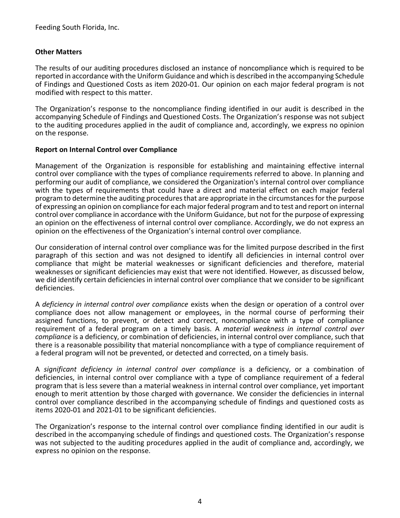# Other Matters

The results of our auditing procedures disclosed an instance of noncompliance which is required to be reported in accordance with the Uniform Guidance and which is described in the accompanying Schedule of Findings and Questioned Costs as item 2020 01. Our opinion on each major federal program is not modified with respect to this matter.

The Organization's response to the noncompliance finding identified in our audit is described in the accompanying Schedule of Findings and Questioned Costs. The Organization's response was not subject to the auditing procedures applied in the audit of compliance and, accordingly, we express no opinion on the response.

# Report on Internal Control over Compliance

Management of the Organization is responsible for establishing and maintaining effective internal control over compliance with the types of compliance requirements referred to above. In planning and performing our audit of compliance, we considered the Organization's internal control over compliance with the types of requirements that could have a direct and material effect on each major federal program to determine the auditing procedures that are appropriate in the circumstances for the purpose of expressing an opinion on compliance for each major federal program and to test and report on internal control over compliance in accordance with the Uniform Guidance, but not for the purpose of expressing an opinion on the effectiveness of internal control over compliance. Accordingly, we do not express an opinion on the effectiveness of the Organization's internal control over compliance.

Our consideration of internal control over compliance was for the limited purpose described in the first paragraph of this section and was not designed to identify all deficiencies in internal control over compliance that might be material weaknesses or significant deficiencies and therefore, material weaknesses or significant deficiencies may exist that were not identified. However, as discussed below, we did identify certain deficiencies in internal control over compliance that we consider to be significant deficiencies.

A deficiency in internal control over compliance exists when the design or operation of a control over compliance does not allow management or employees, in the normal course of performing their assigned functions, to prevent, or detect and correct, noncompliance with a type of compliance requirement of a federal program on a timely basis. A material weakness in internal control over compliance is a deficiency, or combination of deficiencies, in internal control over compliance, such that there is a reasonable possibility that material noncompliance with a type of compliance requirement of a federal program will not be prevented, or detected and corrected, on a timely basis.

A significant deficiency in internal control over compliance is a deficiency, or a combination of deficiencies, in internal control over compliance with a type of compliance requirement of a federal program that is less severe than a material weakness in internal control over compliance, yet important enough to merit attention by those charged with governance. We consider the deficiencies in internal control over compliance described in the accompanying schedule of findings and questioned costs as items 2020-01 and 2021-01 to be significant deficiencies.

The Organization's response to the internal control over compliance finding identified in our audit is described in the accompanying schedule of findings and questioned costs. The Organization's response was not subjected to the auditing procedures applied in the audit of compliance and, accordingly, we express no opinion on the response.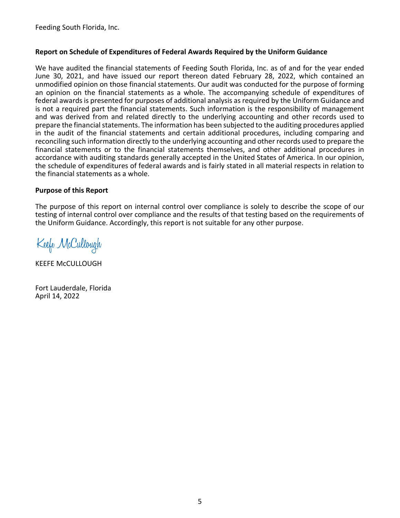# Report on Schedule of Expenditures of Federal Awards Required by the Uniform Guidance

We have audited the financial statements of Feeding South Florida, Inc. as of and for the year ended June 30, 2021, and have issued our report thereon dated February 28, 2022, which contained an unmodified opinion on those financial statements. Our audit was conducted for the purpose of forming an opinion on the financial statements as a whole. The accompanying schedule of expenditures of federal awards is presented for purposes of additional analysis as required by the Uniform Guidance and is not a required part the financial statements. Such information is the responsibility of management and was derived from and related directly to the underlying accounting and other records used to prepare the financial statements. The information has been subjected to the auditing procedures applied in the audit of the financial statements and certain additional procedures, including comparing and reconciling such information directly to the underlying accounting and other records used to prepare the financial statements or to the financial statements themselves, and other additional procedures in accordance with auditing standards generally accepted in the United States of America. In our opinion, the schedule of expenditures of federal awards and is fairly stated in all material respects in relation to the financial statements as a whole.

# Purpose of this Report

The purpose of this report on internal control over compliance is solely to describe the scope of our testing of internal control over compliance and the results of that testing based on the requirements of the Uniform Guidance. Accordingly, this report is not suitable for any other purpose.

Keefe McCullough

KEEFE McCULLOUGH

Fort Lauderdale, Florida April 14, 2022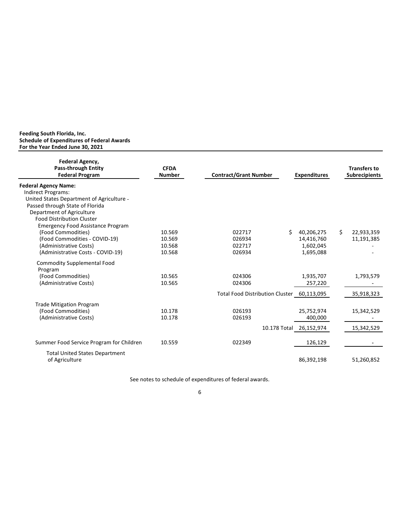#### Feeding South Florida, Inc. Schedule of Expenditures of Federal Awards For the Year Ended June 30, 2021

| Federal Agency,<br><b>Pass-through Entity</b><br><b>Federal Program</b> | <b>CFDA</b><br><b>Number</b> | <b>Contract/Grant Number</b>           | <b>Expenditures</b>     |    | <b>Transfers to</b><br><b>Subrecipients</b> |
|-------------------------------------------------------------------------|------------------------------|----------------------------------------|-------------------------|----|---------------------------------------------|
| <b>Federal Agency Name:</b>                                             |                              |                                        |                         |    |                                             |
| Indirect Programs:                                                      |                              |                                        |                         |    |                                             |
| United States Department of Agriculture -                               |                              |                                        |                         |    |                                             |
| Passed through State of Florida                                         |                              |                                        |                         |    |                                             |
| Department of Agriculture                                               |                              |                                        |                         |    |                                             |
| <b>Food Distribution Cluster</b>                                        |                              |                                        |                         |    |                                             |
| <b>Emergency Food Assistance Program</b>                                |                              |                                        |                         |    |                                             |
| (Food Commodities)                                                      | 10.569                       | 022717                                 | Ś.<br>40,206,275        | Ś. | 22,933,359                                  |
| (Food Commodities - COVID-19)                                           | 10.569                       | 026934                                 | 14,416,760              |    | 11,191,385                                  |
| (Administrative Costs)                                                  | 10.568                       | 022717                                 | 1,602,045               |    |                                             |
| (Administrative Costs - COVID-19)                                       | 10.568                       | 026934                                 | 1,695,088               |    |                                             |
| <b>Commodity Supplemental Food</b>                                      |                              |                                        |                         |    |                                             |
| Program                                                                 |                              |                                        |                         |    |                                             |
| (Food Commodities)                                                      | 10.565                       | 024306                                 | 1,935,707               |    | 1,793,579                                   |
| (Administrative Costs)                                                  | 10.565                       | 024306                                 | 257,220                 |    |                                             |
|                                                                         |                              | <b>Total Food Distribution Cluster</b> | 60,113,095              |    | 35,918,323                                  |
| <b>Trade Mitigation Program</b>                                         |                              |                                        |                         |    |                                             |
| (Food Commodities)                                                      | 10.178                       | 026193                                 | 25,752,974              |    | 15,342,529                                  |
| (Administrative Costs)                                                  | 10.178                       | 026193                                 | 400,000                 |    |                                             |
|                                                                         |                              |                                        | 10.178 Total 26,152,974 |    | 15,342,529                                  |
| Summer Food Service Program for Children                                | 10.559                       | 022349                                 | 126,129                 |    |                                             |
|                                                                         |                              |                                        |                         |    |                                             |
| <b>Total United States Department</b>                                   |                              |                                        |                         |    |                                             |
| of Agriculture                                                          |                              |                                        | 86,392,198              |    | 51,260,852                                  |
|                                                                         |                              |                                        |                         |    |                                             |

See notes to schedule of expenditures of federal awards.

6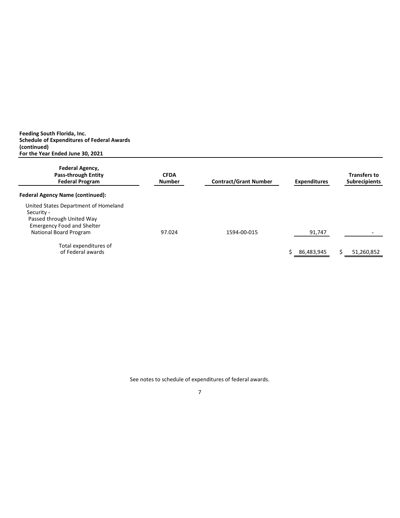(continued) Feeding South Florida, Inc. Schedule of Expenditures of Federal Awards For the Year Ended June 30, 2021

| Federal Agency,<br>Pass-through Entity<br><b>Federal Program</b>                                                                               | <b>CFDA</b><br><b>Number</b> | <b>Contract/Grant Number</b> | <b>Expenditures</b> | <b>Transfers to</b><br><b>Subrecipients</b> |
|------------------------------------------------------------------------------------------------------------------------------------------------|------------------------------|------------------------------|---------------------|---------------------------------------------|
| <b>Federal Agency Name (continued):</b>                                                                                                        |                              |                              |                     |                                             |
| United States Department of Homeland<br>Security -<br>Passed through United Way<br><b>Emergency Food and Shelter</b><br>National Board Program | 97.024                       | 1594-00-015                  | 91,747              |                                             |
| Total expenditures of<br>of Federal awards                                                                                                     |                              |                              | 86,483,945          | Ś.<br>51,260,852                            |

See notes to schedule of expenditures of federal awards.

7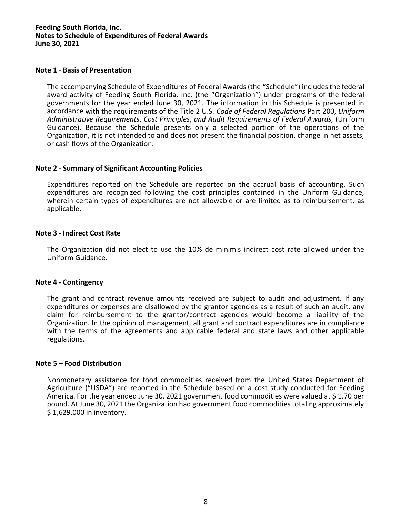## Note 1 - Basis of Presentation

The accompanying Schedule of Expenditures of Federal Awards (the "Schedule") includes the federal award activity of Feeding South Florida, Inc. (the "Organization") under programs of the federal governments for the year ended June 30, 2021. The information in this Schedule is presented in accordance with the requirements of the Title 2 U.S. Code of Federal Regulations Part 200, Uniform Administrative Requirements, Cost Principles, and Audit Requirements of Federal Awards, (Uniform Guidance). Because the Schedule presents only a selected portion of the operations of the Organization, it is not intended to and does not present the financial position, change in net assets, or cash flows of the Organization.

## Note 2 - Summary of Significant Accounting Policies

Expenditures reported on the Schedule are reported on the accrual basis of accounting. Such expenditures are recognized following the cost principles contained in the Uniform Guidance, wherein certain types of expenditures are not allowable or are limited as to reimbursement, as applicable.

## **Note 3 - Indirect Cost Rate**

The Organization did not elect to use the 10% de minimis indirect cost rate allowed under the Uniform Guidance.

#### Note 4 - Contingency

The grant and contract revenue amounts received are subject to audit and adjustment. If any expenditures or expenses are disallowed by the grantor agencies as a result of such an audit, any claim for reimbursement to the grantor/contract agencies would become a liability of the Organization. In the opinion of management, all grant and contract expenditures are in compliance with the terms of the agreements and applicable federal and state laws and other applicable regulations.

### Note 5 - Food Distribution

Nonmonetary assistance for food commodities received from the United States Department of Agriculture ("USDA") are reported in the Schedule based on a cost study conducted for Feeding America. For the year ended June 30, 2021 government food commodities were valued at \$1.70 per pound. At June 30, 2021 the Organization had government food commodities totaling approximately \$ 1,629,000 in inventory.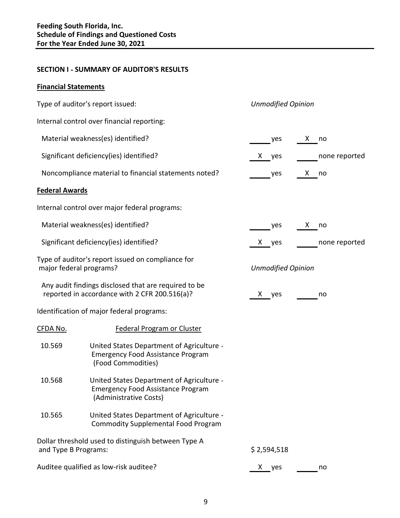# **SECTION I - SUMMARY OF AUDITOR'S RESULTS**

# Financial Statements

|                       | Type of auditor's report issued:                                                                                | <b>Unmodified Opinion</b> |               |
|-----------------------|-----------------------------------------------------------------------------------------------------------------|---------------------------|---------------|
|                       | Internal control over financial reporting:                                                                      |                           |               |
|                       | Material weakness(es) identified?                                                                               | yes                       | X no          |
|                       | Significant deficiency(ies) identified?                                                                         | X yes                     | none reported |
|                       | Noncompliance material to financial statements noted?                                                           | $e^{\sqrt{2\pi}}$         | X no          |
| <b>Federal Awards</b> |                                                                                                                 |                           |               |
|                       | Internal control over major federal programs:                                                                   |                           |               |
|                       | Material weakness(es) identified?                                                                               | yes                       | X no          |
|                       | Significant deficiency(ies) identified?                                                                         | X yes                     | none reported |
|                       | Type of auditor's report issued on compliance for<br>major federal programs?                                    | <b>Unmodified Opinion</b> |               |
|                       | Any audit findings disclosed that are required to be<br>reported in accordance with 2 CFR 200.516(a)?           | X yes                     | no            |
|                       | Identification of major federal programs:                                                                       |                           |               |
| <u>CFDA No.</u>       | <b>Federal Program or Cluster</b>                                                                               |                           |               |
| 10.569                | United States Department of Agriculture -<br><b>Emergency Food Assistance Program</b><br>(Food Commodities)     |                           |               |
| 10.568                | United States Department of Agriculture -<br><b>Emergency Food Assistance Program</b><br>(Administrative Costs) |                           |               |
| 10.565                | United States Department of Agriculture -<br><b>Commodity Supplemental Food Program</b>                         |                           |               |
| and Type B Programs:  | Dollar threshold used to distinguish between Type A                                                             | \$2,594,518               |               |
|                       | Auditee qualified as low-risk auditee?                                                                          | X<br>yes                  | no            |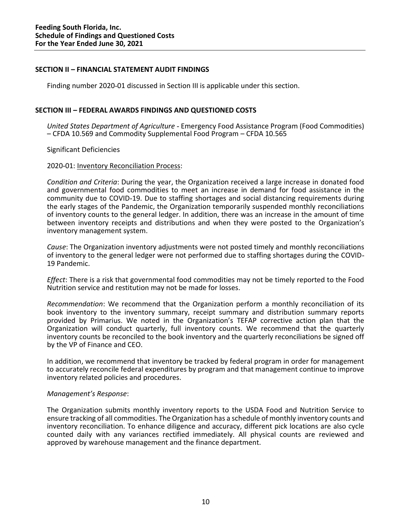## SECTION II - FINANCIAL STATEMENT AUDIT FINDINGS

Finding number 2020 01 discussed in Section III is applicable under this section.

# SECTION III - FEDERAL AWARDS FINDINGS AND QUESTIONED COSTS

United States Department of Agriculture - Emergency Food Assistance Program (Food Commodities) CFDA 10.569 and Commodity Supplemental Food Program CFDA 10.565

Significant Deficiencies

## 2020 01: Inventory Reconciliation Process:

Condition and Criteria: During the year, the Organization received a large increase in donated food and governmental food commodities to meet an increase in demand for food assistance in the community due to COVID 19. Due to staffing shortages and social distancing requirements during the early stages of the Pandemic, the Organization temporarily suspended monthly reconciliations of inventory counts to the general ledger. In addition, there was an increase in the amount of time between inventory receipts and distributions and when they were posted to the Organization's inventory management system.

Cause: The Organization inventory adjustments were not posted timely and monthly reconciliations of inventory to the general ledger were not performed due to staffing shortages during the COVID 19 Pandemic.

Effect: There is a risk that governmental food commodities may not be timely reported to the Food Nutrition service and restitution may not be made for losses.

Recommendation: We recommend that the Organization perform a monthly reconciliation of its book inventory to the inventory summary, receipt summary and distribution summary reports provided by Primarius. We noted in the Organization's TEFAP corrective action plan that the Organization will conduct quarterly, full inventory counts. We recommend that the quarterly inventory counts be reconciled to the book inventory and the quarterly reconciliations be signed off by the VP of Finance and CEO.

In addition, we recommend that inventory be tracked by federal program in order for management to accurately reconcile federal expenditures by program and that management continue to improve inventory related policies and procedures.

## Management's Response:

The Organization submits monthly inventory reports to the USDA Food and Nutrition Service to ensure tracking of all commodities. The Organization has a schedule of monthly inventory counts and inventory reconciliation. To enhance diligence and accuracy, different pick locations are also cycle counted daily with any variances rectified immediately. All physical counts are reviewed and approved by warehouse management and the finance department.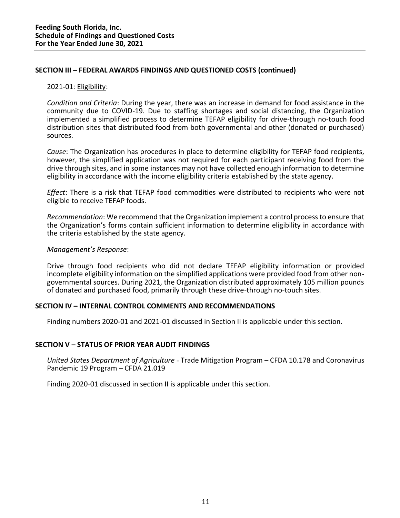## SECTION III - FEDERAL AWARDS FINDINGS AND QUESTIONED COSTS (continued)

## 2021 01: Eligibility:

Condition and Criteria: During the year, there was an increase in demand for food assistance in the community due to COVID 19. Due to staffing shortages and social distancing, the Organization implemented a simplified process to determine TEFAP eligibility for drive through no touch food distribution sites that distributed food from both governmental and other (donated or purchased) sources.

Cause: The Organization has procedures in place to determine eligibility for TEFAP food recipients, however, the simplified application was not required for each participant receiving food from the drive through sites, and in some instances may not have collected enough information to determine eligibility in accordance with the income eligibility criteria established by the state agency.

Effect: There is a risk that TEFAP food commodities were distributed to recipients who were not eligible to receive TEFAP foods.

Recommendation: We recommend that the Organization implement a control process to ensure that the Organization's forms contain sufficient information to determine eligibility in accordance with the criteria established by the state agency.

## Management's Response:

Drive through food recipients who did not declare TEFAP eligibility information or provided incomplete eligibility information on the simplified applications were provided food from other non governmental sources. During 2021, the Organization distributed approximately 105 million pounds of donated and purchased food, primarily through these drive through no touch sites.

## SECTION IV - INTERNAL CONTROL COMMENTS AND RECOMMENDATIONS

Finding numbers 2020-01 and 2021-01 discussed in Section II is applicable under this section.

## SECTION V - STATUS OF PRIOR YEAR AUDIT FINDINGS

United States Department of Agriculture - Trade Mitigation Program – CFDA 10.178 and Coronavirus Pandemic 19 Program - CFDA 21.019

Finding 2020 01 discussed in section II is applicable under this section.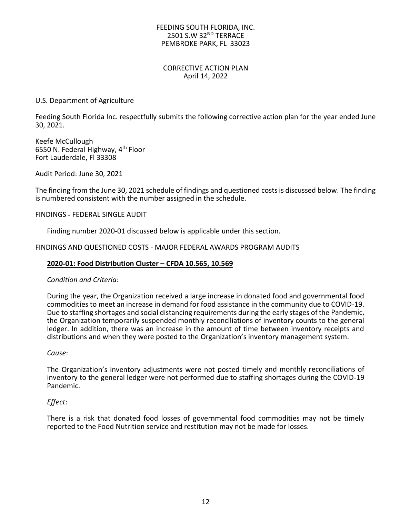## FEEDING SOUTH FLORIDA, INC. 2501 S.W 32ND TERRACE PEMBROKE PARK, FL 33023

## CORRECTIVE ACTION PLAN April 14, 2022

# U.S. Department of Agriculture

Feeding South Florida Inc. respectfully submits the following corrective action plan for the year ended June 30, 2021.

Keefe McCullough 6550 N. Federal Highway, 4th Floor Fort Lauderdale, Fl 33308

Audit Period: June 30, 2021

The finding from the June 30, 2021 schedule of findings and questioned costs is discussed below. The finding is numbered consistent with the number assigned in the schedule.

FINDINGS FEDERAL SINGLE AUDIT

Finding number 2020-01 discussed below is applicable under this section.

FINDINGS AND QUESTIONED COSTS - MAJOR FEDERAL AWARDS PROGRAM AUDITS

## 2020 01: Food Distribution Cluster CFDA 10.565, 10.569

### Condition and Criteria:

During the year, the Organization received a large increase in donated food and governmental food commodities to meet an increase in demand for food assistance in the community due to COVID 19. Due to staffing shortages and social distancing requirements during the early stages of the Pandemic, the Organization temporarily suspended monthly reconciliations of inventory counts to the general ledger. In addition, there was an increase in the amount of time between inventory receipts and distributions and when they were posted to the Organization's inventory management system.

### Cause:

The Organization's inventory adjustments were not posted timely and monthly reconciliations of inventory to the general ledger were not performed due to staffing shortages during the COVID-19 Pandemic.

## Effect:

There is a risk that donated food losses of governmental food commodities may not be timely reported to the Food Nutrition service and restitution may not be made for losses.